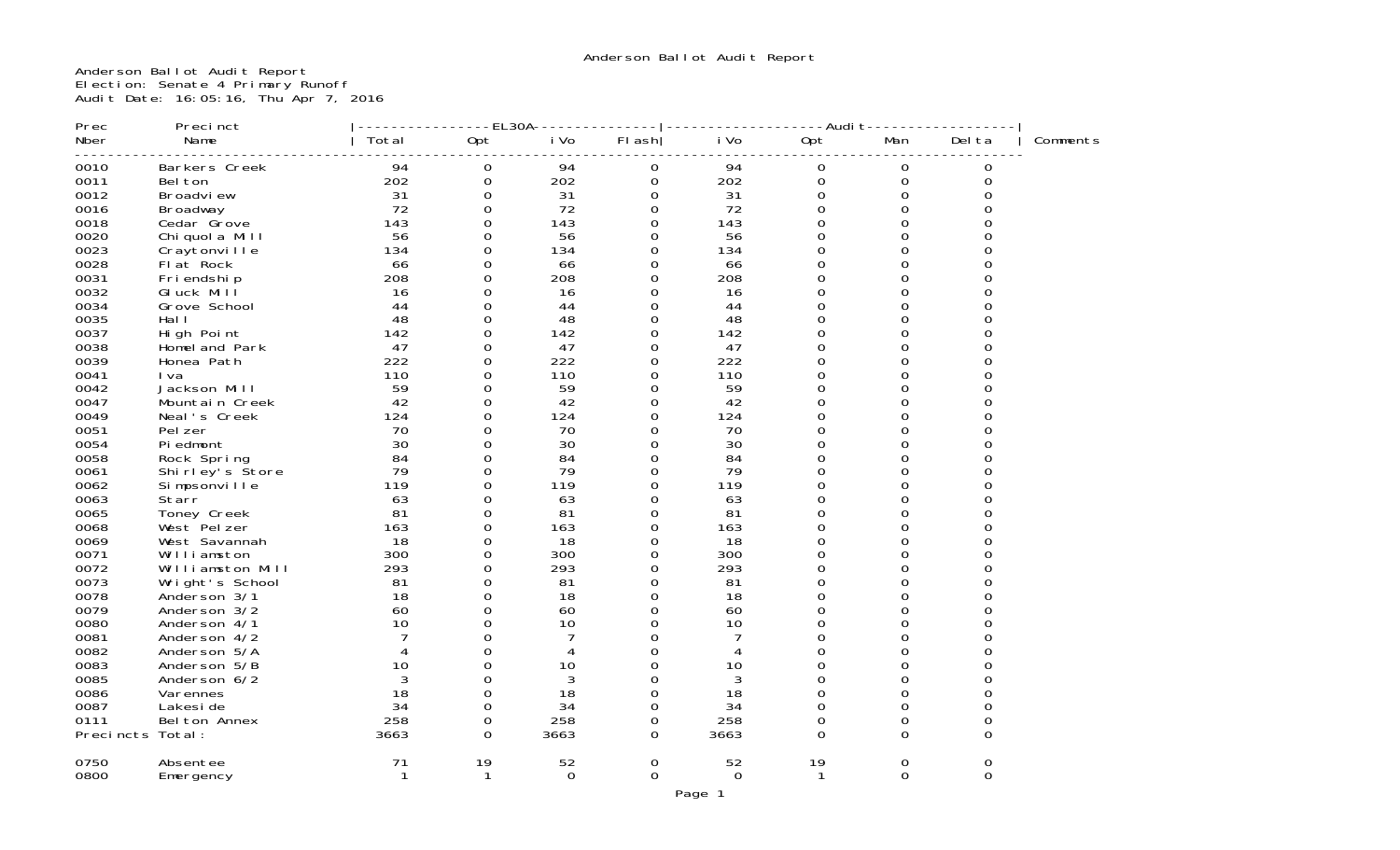Anderson Ballot Audit Report Election: Senate 4 Primary Runoff Audit Date: 16:05:16, Thu Apr 7, 2016

| Prec             | Precinct          |             | $- - - E L 30A$     |          |             |              | ----Audit-          |             |        |          |
|------------------|-------------------|-------------|---------------------|----------|-------------|--------------|---------------------|-------------|--------|----------|
| Nber             | Name              | Total       | Opt                 | i Vo     | FI ash      | i Vo         | Opt                 | Man         | Del ta | Comments |
| 0010             | Barkers Creek     | 94          | 0                   | 94       | 0           | 94           | 0                   | 0           | 0      |          |
| 0011             | Bel ton           | 202         | $\mathsf{O}\xspace$ | 202      | $\mathbf 0$ | 202          | $\mathsf{O}\xspace$ | $\mathbf 0$ | 0      |          |
| 0012             | Broadview         | 31          | $\Omega$            | 31       | $\Omega$    | 31           | 0                   | $\Omega$    |        |          |
| 0016             | Broadway          | 72          | 0                   | 72       | 0           | 72           | 0                   | 0           | O      |          |
| 0018             | Cedar Grove       | 143         | $\Omega$            | 143      | $\Omega$    | 143          | $\Omega$            | 0           | ი      |          |
| 0020             | Chi quol a Mill   | 56          | $\Omega$            | 56       | $\Omega$    | 56           | 0                   | $\Omega$    |        |          |
| 0023             | Craytonville      | 134         | $\Omega$            | 134      | $\Omega$    | 134          | 0                   | 0           |        |          |
| 0028             | Flat Rock         | 66          | $\Omega$            | 66       | $\Omega$    | 66           | 0                   | 0           |        |          |
| 0031             | Friendship        | 208         | $\Omega$            | 208      | $\Omega$    | 208          | 0                   | 0           |        |          |
| 0032             | GI uck Mill       | 16          | 0                   | 16       | 0           | 16           | 0                   | 0           |        |          |
| 0034             | Grove School      | 44          | $\Omega$            | 44       | $\Omega$    | 44           | $\Omega$            | 0           |        |          |
| 0035             | Hal I             | 48          | $\Omega$            | 48       | 0           | 48           | 0                   | 0           |        |          |
| 0037             | High Point        | 142         | 0                   | 142      | 0           | 142          | 0                   | 0           | Ω      |          |
| 0038             | Homel and Park    | 47          | $\Omega$            | 47       | $\Omega$    | 47           | 0                   | 0           | ი      |          |
| 0039             | Honea Path        | 222         | 0                   | 222      | 0           | 222          | 0                   | 0           |        |          |
| 0041             | I va              | 110         | $\Omega$            | 110      | $\Omega$    | 110          | 0                   | 0           |        |          |
| 0042             | Jackson Mill      | 59          | $\Omega$            | 59       | $\Omega$    | 59           | 0                   | 0           |        |          |
| 0047             | Mountain Creek    | 42          | $\Omega$            | 42       | $\Omega$    | 42           | 0                   | 0           |        |          |
| 0049             | Neal's Creek      | 124         | 0                   | 124      | 0           | 124          | 0                   | 0           |        |          |
| 0051             | Pel zer           | 70          | $\Omega$            | 70       | 0           | 70           | $\Omega$            | 0           |        |          |
| 0054             | Pi edmont         | 30          | $\Omega$            | 30       | 0           | 30           | 0                   | 0           |        |          |
| 0058             | Rock Spring       | 84          | 0                   | 84       | 0           | 84           | 0                   | 0           | Ω      |          |
| 0061             | Shi rl ey's Store | 79          | $\Omega$            | 79       | $\Omega$    | 79           | 0                   | 0           | ი      |          |
| 0062             | Simpsonville      | 119         | $\Omega$            | 119      | $\Omega$    | 119          | 0                   | $\Omega$    | ი      |          |
| 0063             | Starr             | 63          | $\Omega$            | 63       | $\Omega$    | 63           | 0                   | 0           |        |          |
| 0065             | Toney Creek       | 81          | $\Omega$            | 81       | 0           | 81           | 0                   | 0           |        |          |
| 0068             | West Pelzer       | 163         | $\Omega$            | 163      | $\Omega$    | 163          | $\Omega$            | 0           |        |          |
| 0069             | West Savannah     | 18          | 0                   | 18       | 0           | 18           | $\Omega$            | 0           |        |          |
| 0071             | Williamston       | 300         | 0                   | 300      | $\Omega$    | 300          | $\Omega$            | 0           |        |          |
| 0072             | Williamston Mill  | 293         | $\Omega$            | 293      | $\Omega$    | 293          | 0                   | 0           |        |          |
| 0073             | Wright's School   | 81          | 0                   | 81       | 0           | 81           | 0                   | 0           | Ω      |          |
| 0078             | Anderson 3/1      | 18          | $\Omega$            | 18       | 0           | 18           | 0                   | 0           | ი      |          |
| 0079             | Anderson 3/2      | 60          | $\Omega$            | 60       | 0           | 60           | 0                   | 0           |        |          |
| 0080             | Anderson 4/1      | 10          | $\Omega$            | 10       | $\Omega$    | 10           | 0                   | 0           |        |          |
| 0081             | Anderson 4/2      | 7           | 0                   |          | $\Omega$    | 7            | 0                   | 0           |        |          |
| 0082             | Anderson 5/A      |             | $\Omega$            | 4        | $\Omega$    |              | 0                   | 0           |        |          |
| 0083             | Anderson 5/B      | 10          | 0                   | 10       | $\Omega$    | 10           | 0                   | 0           |        |          |
| 0085             | Anderson 6/2      | 3           | 0                   | 3        | 0           | $\mathbf{3}$ | 0                   | 0           |        |          |
| 0086             | Varennes          | 18          | $\Omega$            | 18       | $\Omega$    | 18           | 0                   | 0           |        |          |
| 0087             | Lakesi de         | 34          | 0                   | 34       | 0           | 34           | 0                   | 0           | 0      |          |
| 0111             | Bel ton Annex     | 258         | $\Omega$            | 258      | $\Omega$    | 258          | 0                   | 0           | 0      |          |
| Precincts Total: |                   | 3663        | 0                   | 3663     | 0           | 3663         | $\Omega$            | $\Omega$    | 0      |          |
| 0750             | Absentee          | 71          | 19                  | 52       | 0           | 52           | 19                  | 0           | 0      |          |
| 0800             | Emergency         | $\mathbf 1$ | $\mathbf{1}$        | $\Omega$ | $\Omega$    | $\Omega$     | 1                   | $\Omega$    | 0      |          |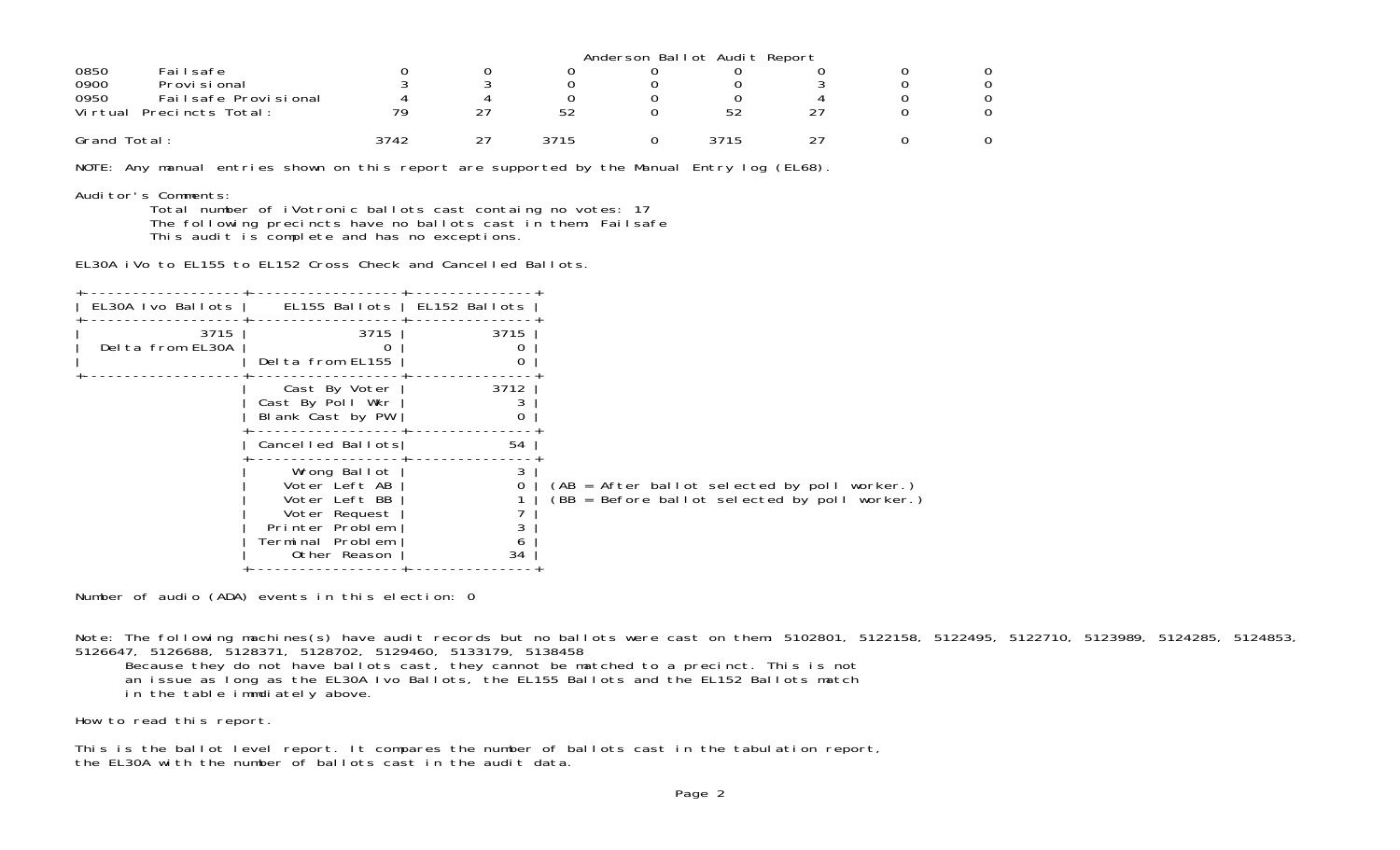|                                 | Anderson Ballot Audit Report |  |      |  |      |    |  |  |  |
|---------------------------------|------------------------------|--|------|--|------|----|--|--|--|
| 0850<br>Failsafe                |                              |  |      |  |      |    |  |  |  |
| 0900<br>Provi si onal           |                              |  |      |  |      |    |  |  |  |
| 0950<br>Fail safe Provi si onal |                              |  |      |  |      |    |  |  |  |
| Vi rtual<br>Precincts Total:    | 79                           |  | 52   |  | 52   | つつ |  |  |  |
| Grand Total:                    | 3742                         |  | 3715 |  | 3715 |    |  |  |  |

NOTE: Any manual entries shown on this report are supported by the Manual Entry log (EL68).

Auditor's Comments:

 Total number of iVotronic ballots cast containg no votes: 17 The following precincts have no ballots cast in them: Failsafe This audit is complete and has no exceptions.

EL30A iVo to EL155 to EL152 Cross Check and Cancelled Ballots.

| EL30A Ivo Ballots        | EL155 Ballots                                                                                                          | EL152 Ballots |                                                                                               |
|--------------------------|------------------------------------------------------------------------------------------------------------------------|---------------|-----------------------------------------------------------------------------------------------|
| 3715<br>Delta from EL30A | 3715<br>Delta from EL155                                                                                               | 3715<br>0     |                                                                                               |
|                          | Cast By Voter<br>Cast By Poll Wkr<br>Blank Cast by PW                                                                  | 3712<br>0     |                                                                                               |
|                          | Cancelled Ballots                                                                                                      | 54            |                                                                                               |
|                          | Wrong Ballot<br>Voter Left AB<br>Voter Left BB<br>Voter Request<br>Printer Problem<br>Terminal Problem<br>Other Reason | O<br>34       | (AB = After ballot selected by poll worker.)<br>(BB = Before ballot selected by poll worker.) |

Number of audio (ADA) events in this election: 0

Note: The following machines(s) have audit records but no ballots were cast on them: 5102801, 5122158, 5122495, 5122710, 5123989, 5124285, 5124853, 5126647, 5126688, 5128371, 5128702, 5129460, 5133179, 5138458

Because they do not have ballots cast, they cannot be matched to a precinct. This is not

an issue as long as the EL30A Ivo Ballots, the EL155 Ballots and the EL152 Ballots match

in the table immdiately above.

How to read this report.

This is the ballot level report. It compares the number of ballots cast in the tabulation report, the EL30A with the number of ballots cast in the audit data.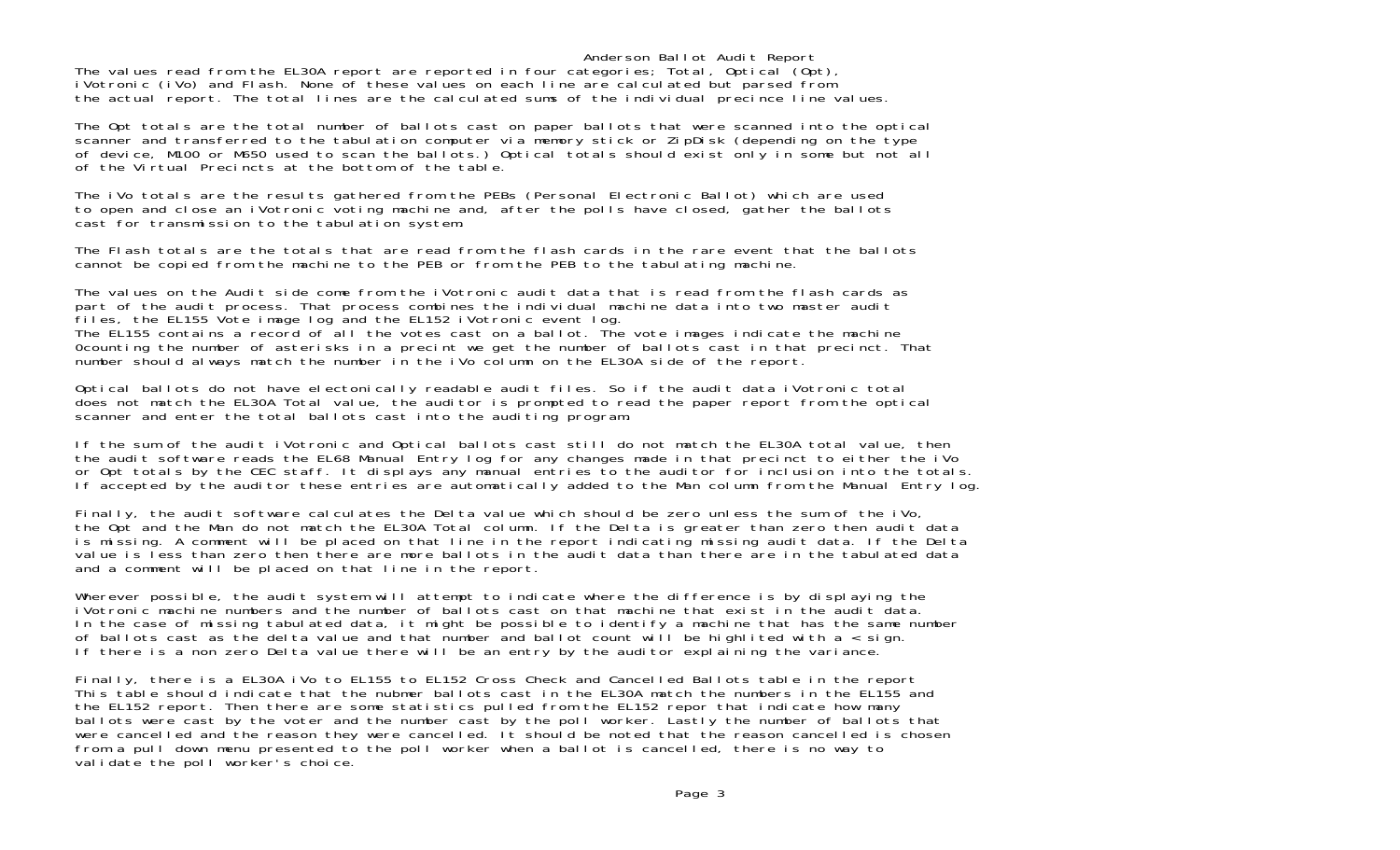Anderson Ballot Audit Report The values read from the EL30A report are reported in four categories; Total, Optical (Opt), iVotronic (iVo) and Flash. None of these values on each line are calculated but parsed from the actual report. The total lines are the calculated sums of the individual precince line values.

The Opt totals are the total number of ballots cast on paper ballots that were scanned into the optical scanner and transferred to the tabulation computer via memory stick or ZipDisk (depending on the type of device, M100 or M650 used to scan the ballots.) Optical totals should exist only in some but not all of the Virtual Precincts at the bottom of the table.

The iVo totals are the results gathered from the PEBs (Personal Electronic Ballot) which are used to open and close an iVotronic voting machine and, after the polls have closed, gather the ballots cast for transmission to the tabulation system.

The Flash totals are the totals that are read from the flash cards in the rare event that the ballotscannot be copied from the machine to the PEB or from the PEB to the tabulating machine.

The values on the Audit side come from the iVotronic audit data that is read from the flash cards as part of the audit process. That process combines the individual machine data into two master audit files, the EL155 Vote image log and the EL152 iVotronic event log. The EL155 contains a record of all the votes cast on a ballot. The vote images indicate the machine 0counting the number of asterisks in a precint we get the number of ballots cast in that precinct. That number should always match the number in the iVo column on the EL30A side of the report.

Optical ballots do not have electonically readable audit files. So if the audit data iVotronic total does not match the EL30A Total value, the auditor is prompted to read the paper report from the optical scanner and enter the total ballots cast into the auditing program.

If the sum of the audit iVotronic and Optical ballots cast still do not match the EL30A total value, then the audit software reads the EL68 Manual Entry log for any changes made in that precinct to either the iVo or Opt totals by the CEC staff. It displays any manual entries to the auditor for inclusion into the totals. If accepted by the auditor these entries are automatically added to the Man column from the Manual Entry log.

Finally, the audit software calculates the Delta value which should be zero unless the sum of the iVo, the Opt and the Man do not match the EL30A Total column. If the Delta is greater than zero then audit data is missing. A comment will be placed on that line in the report indicating missing audit data. If the Delta value is less than zero then there are more ballots in the audit data than there are in the tabulated data and a comment will be placed on that line in the report.

Wherever possible, the audit system will attempt to indicate where the difference is by displaying the iVotronic machine numbers and the number of ballots cast on that machine that exist in the audit data.In the case of missing tabulated data, it might be possible to identify a machine that has the same number of ballots cast as the delta value and that number and ballot count will be highlited with a  $\overline{\cdot}$  sign. If there is a non zero Delta value there will be an entry by the auditor explaining the variance.

Finally, there is a EL30A iVo to EL155 to EL152 Cross Check and Cancelled Ballots table in the report This table should indicate that the nubmer ballots cast in the EL30A match the numbers in the EL155 and the EL152 report. Then there are some statistics pulled from the EL152 repor that indicate how many ballots were cast by the voter and the number cast by the poll worker. Lastly the number of ballots that were cancelled and the reason they were cancelled. It should be noted that the reason cancelled is chosen from a pull down menu presented to the poll worker when a ballot is cancelled, there is no way to validate the poll worker's choice.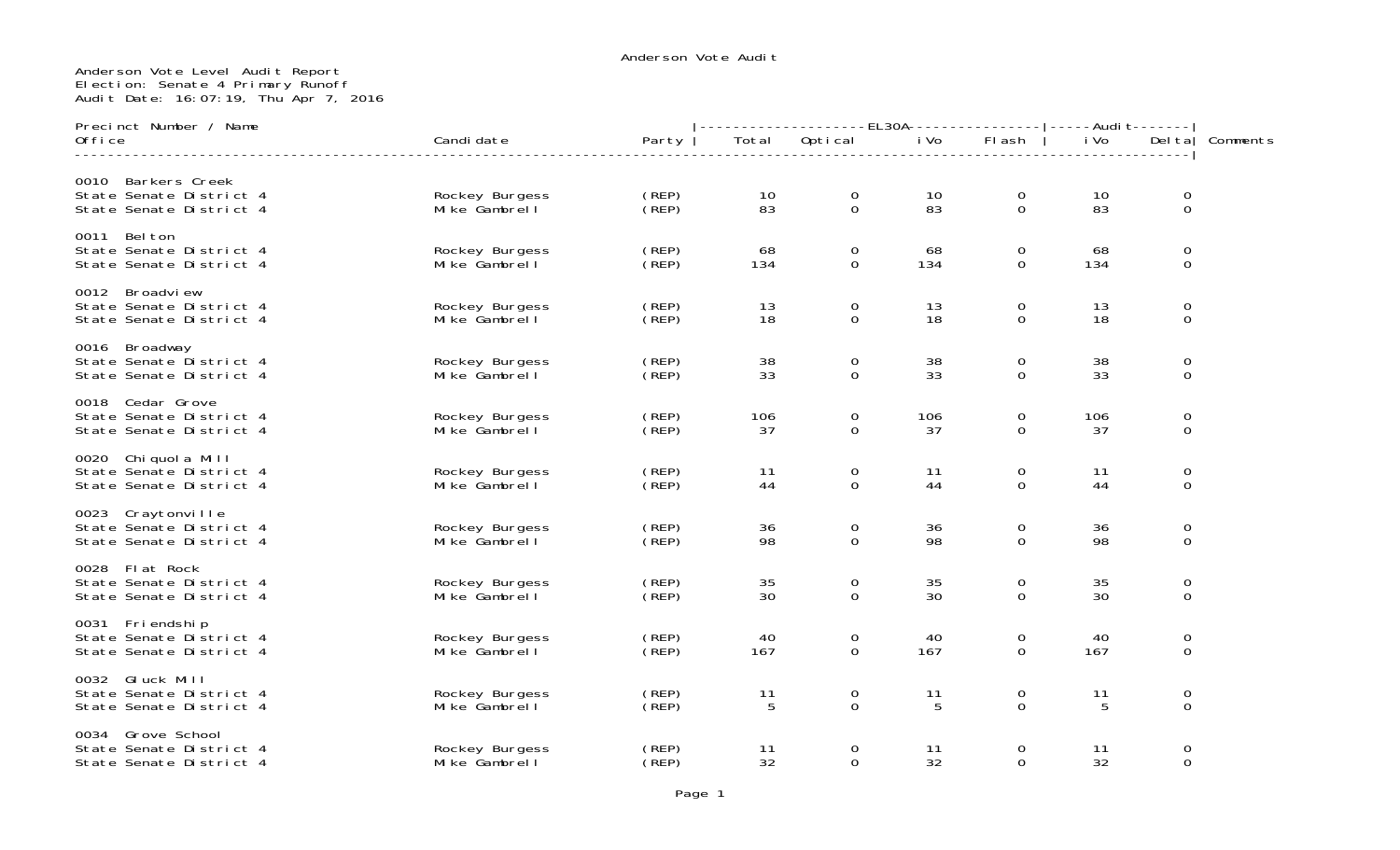## Anderson Vote Level Audit Report Election: Senate 4 Primary Runoff Audit Date: 16:07:19, Thu Apr 7, 2016

| Precinct Number / Name                                                      |                                 |                | --------------EL30A---------------- ----Audit------- |                             |           |                            |           |                            |          |
|-----------------------------------------------------------------------------|---------------------------------|----------------|------------------------------------------------------|-----------------------------|-----------|----------------------------|-----------|----------------------------|----------|
| Office                                                                      | Candi date                      | Party          | Total                                                | Optical                     | i Vo      | Flash                      | i Vo      | Del ta                     | Comments |
| Barkers Creek<br>0010<br>State Senate District 4<br>State Senate District 4 | Rockey Burgess<br>Mike Gambrell | (REP)<br>(REP) | 10<br>83                                             | $\mathbf 0$<br>$\Omega$     | 10<br>83  | $\mathbf 0$<br>$\Omega$    | 10<br>83  | $\mathbf 0$<br>$\mathbf 0$ |          |
| Bel ton<br>0011<br>State Senate District 4<br>State Senate District 4       | Rockey Burgess<br>Mike Gambrell | (REP)<br>(REP) | 68<br>134                                            | $\mathbf 0$<br>$\mathbf{O}$ | 68<br>134 | 0<br>$\Omega$              | 68<br>134 | $\mathbf 0$<br>$\mathbf 0$ |          |
| 0012 Broadview<br>State Senate District 4<br>State Senate District 4        | Rockey Burgess<br>Mike Gambrell | (REP)<br>(REP) | 13<br>18                                             | $\mathbf 0$<br>$\mathbf{O}$ | 13<br>18  | $\mathbf 0$<br>$\Omega$    | 13<br>18  | 0<br>$\mathbf 0$           |          |
| 0016 Broadway<br>State Senate District 4<br>State Senate District 4         | Rockey Burgess<br>Mike Gambrell | (REP)<br>(REP) | 38<br>33                                             | 0<br>$\Omega$               | 38<br>33  | $\mathbf 0$<br>$\Omega$    | 38<br>33  | $\mathbf 0$<br>$\Omega$    |          |
| 0018 Cedar Grove<br>State Senate District 4<br>State Senate District 4      | Rockey Burgess<br>Mike Gambrell | (REP)<br>(REF) | 106<br>37                                            | $\mathbf 0$<br>$\mathbf 0$  | 106<br>37 | 0<br>$\Omega$              | 106<br>37 | $\mathbf 0$<br>0           |          |
| 0020 Chi quol a Mill<br>State Senate District 4<br>State Senate District 4  | Rockey Burgess<br>Mike Gambrell | (REP)<br>(REP) | 11<br>44                                             | 0<br>0                      | 11<br>44  | $\overline{0}$<br>$\Omega$ | 11<br>44  | 0<br>$\mathbf 0$           |          |
| 0023 Craytonville<br>State Senate District 4<br>State Senate District 4     | Rockey Burgess<br>Mike Gambrell | (REP)<br>(REF) | 36<br>98                                             | 0<br>$\Omega$               | 36<br>98  | $\mathbf 0$<br>$\Omega$    | 36<br>98  | $\mathbf 0$<br>$\mathbf 0$ |          |
| 0028 Flat Rock<br>State Senate District 4<br>State Senate District 4        | Rockey Burgess<br>Mike Gambrell | (REP)<br>(REP) | 35<br>30                                             | $\mathbf 0$<br>$\mathbf 0$  | 35<br>30  | $\mathbf 0$<br>$\Omega$    | 35<br>30  | $\mathbf 0$<br>0           |          |
| Fri endshi p<br>0031<br>State Senate District 4<br>State Senate District 4  | Rockey Burgess<br>Mike Gambrell | (REP)<br>(REP) | 40<br>167                                            | 0<br>$\mathbf 0$            | 40<br>167 | $\Omega$<br>$\Omega$       | 40<br>167 | 0<br>$\mathbf 0$           |          |
| 0032 Gluck Mill<br>State Senate District 4<br>State Senate District 4       | Rockey Burgess<br>Mike Gambrell | (REP)<br>(REP) | 11<br>5                                              | $\mathbf 0$<br>$\Omega$     | 11<br>5   | 0<br>$\Omega$              | 11<br>5   | $\mathbf 0$<br>$\Omega$    |          |
| 0034 Grove School<br>State Senate District 4<br>State Senate District 4     | Rockey Burgess<br>Mike Gambrell | (REP)<br>(REF) | 11<br>32                                             | 0<br>$\mathbf 0$            | 11<br>32  | 0<br>$\Omega$              | 11<br>32  | $\mathbf 0$<br>$\mathbf 0$ |          |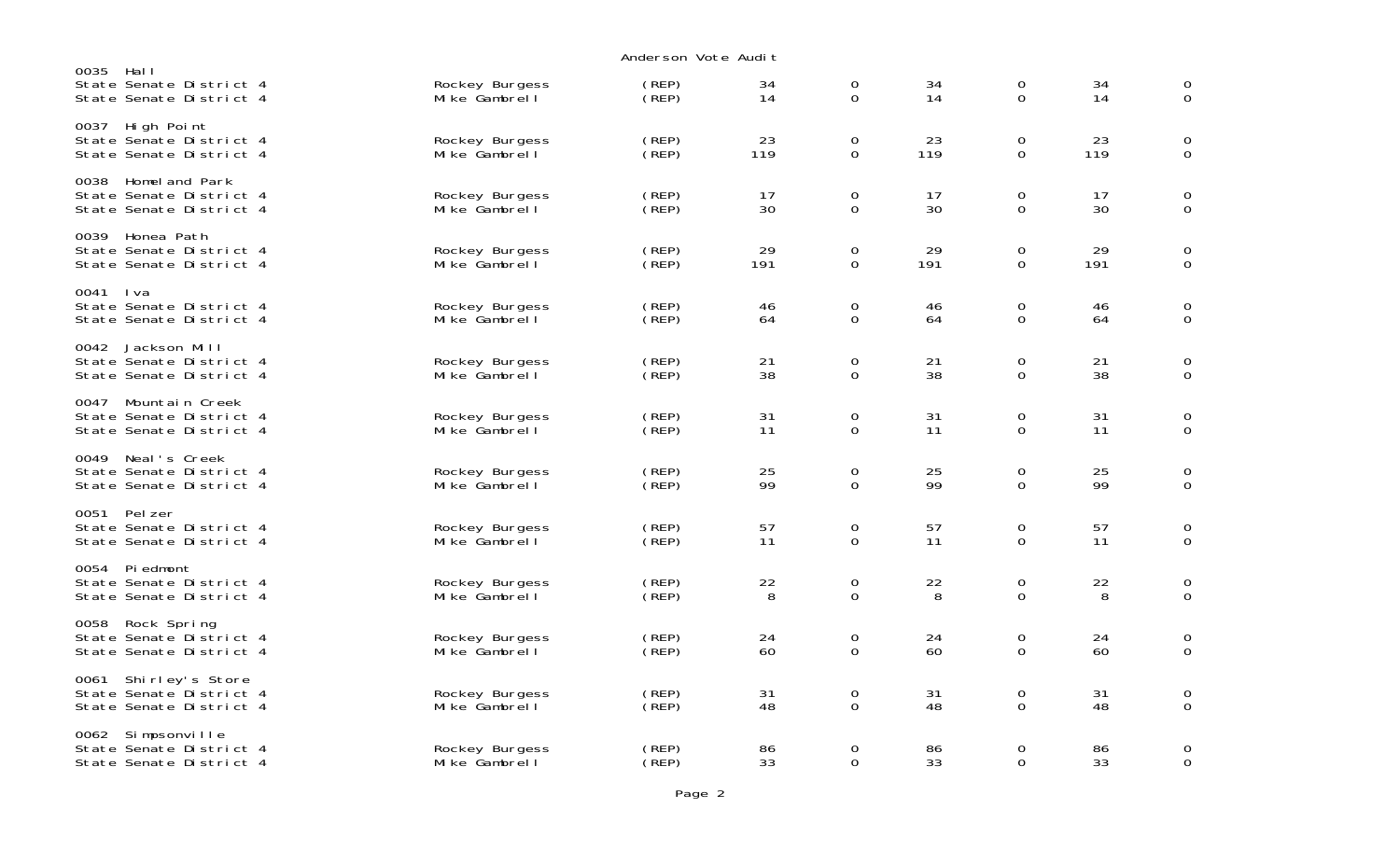|                                                                               |                                 | Anderson Vote Audit |           |                            |           |                            |           |                            |
|-------------------------------------------------------------------------------|---------------------------------|---------------------|-----------|----------------------------|-----------|----------------------------|-----------|----------------------------|
| 0035<br>– Hal I<br>State Senate District 4<br>State Senate District 4         | Rockey Burgess<br>Mike Gambrell | (REP)<br>(REP)      | 34<br>14  | $\mathbf 0$<br>$\mathbf 0$ | 34<br>14  | 0<br>$\mathbf 0$           | 34<br>14  | $\mathbf 0$<br>$\mathbf 0$ |
| High Point<br>0037<br>State Senate District 4<br>State Senate District 4      | Rockey Burgess<br>Mike Gambrell | (REP)<br>(REP)      | 23<br>119 | 0<br>$\mathbf 0$           | 23<br>119 | 0<br>$\overline{0}$        | 23<br>119 | $\mathbf 0$<br>$\mathbf 0$ |
| 0038<br>Homeland Park<br>State Senate District 4<br>State Senate District 4   | Rockey Burgess<br>Mike Gambrell | (REP)<br>(REP)      | 17<br>30  | $\mathbf 0$<br>0           | 17<br>30  | $\mathbf 0$<br>0           | 17<br>30  | 0<br>0                     |
| 0039<br>Honea Path<br>State Senate District 4<br>State Senate District 4      | Rockey Burgess<br>Mike Gambrell | (REP)<br>(REP)      | 29<br>191 | $\mathbf 0$<br>0           | 29<br>191 | $\mathbf 0$<br>0           | 29<br>191 | $\mathbf 0$<br>$\mathbf 0$ |
| 0041 Iva<br>State Senate District 4<br>State Senate District 4                | Rockey Burgess<br>Mike Gambrell | (REP)<br>(REP)      | 46<br>64  | 0<br>0                     | 46<br>64  | 0<br>0                     | 46<br>64  | $\mathbf 0$<br>$\mathbf 0$ |
| 0042<br>Jackson Mill<br>State Senate District 4<br>State Senate District 4    | Rockey Burgess<br>Mike Gambrell | (REP)<br>(REP)      | 21<br>38  | $\mathbf 0$<br>0           | 21<br>38  | $\mathbf 0$<br>0           | 21<br>38  | $\mathbf 0$<br>$\mathbf 0$ |
| Mountain Creek<br>0047<br>State Senate District 4<br>State Senate District 4  | Rockey Burgess<br>Mike Gambrell | (REP)<br>(REP)      | 31<br>11  | $\mathbf 0$<br>$\Omega$    | 31<br>11  | $\mathbf 0$<br>$\Omega$    | 31<br>11  | $\mathbf 0$<br>$\mathbf 0$ |
| Neal's Creek<br>0049<br>State Senate District 4<br>State Senate District 4    | Rockey Burgess<br>Mike Gambrell | (REP)<br>(REP)      | 25<br>99  | $\mathbf 0$<br>$\mathbf 0$ | 25<br>99  | $\mathbf 0$<br>$\mathbf 0$ | 25<br>99  | $\mathbf 0$<br>$\mathbf 0$ |
| Pel zer<br>0051<br>State Senate District 4<br>State Senate District 4         | Rockey Burgess<br>Mike Gambrell | (REP)<br>(REF)      | 57<br>11  | 0<br>$\Omega$              | 57<br>11  | 0<br>$\Omega$              | 57<br>11  | 0<br>$\overline{0}$        |
| Pi edmont<br>0054<br>State Senate District 4<br>State Senate District 4       | Rockey Burgess<br>Mike Gambrell | (REP)<br>(REP)      | 22<br>8   | 0<br>$\mathbf 0$           | 22<br>8   | 0<br>$\mathbf 0$           | 22<br>8   | 0<br>$\mathbf 0$           |
| Rock Spring<br>0058<br>State Senate District 4<br>State Senate District 4     | Rockey Burgess<br>Mike Gambrell | (REP)<br>(REP)      | 24<br>60  | 0<br>$\Omega$              | 24<br>60  | $\mathbf 0$<br>$\Omega$    | 24<br>60  | 0<br>$\Omega$              |
| Shirley's Store<br>0061<br>State Senate District 4<br>State Senate District 4 | Rockey Burgess<br>Mike Gambrell | (REP)<br>(REP)      | 31<br>48  | $\mathbf 0$<br>$\mathbf 0$ | 31<br>48  | 0<br>$\mathbf 0$           | 31<br>48  | $\mathbf 0$<br>$\mathbf 0$ |
| Simpsonville<br>0062<br>State Senate District 4<br>State Senate District 4    | Rockey Burgess<br>Mike Gambrell | (REP)<br>(REP)      | 86<br>33  | 0<br>0                     | 86<br>33  | 0<br>0                     | 86<br>33  | $\mathbf 0$<br>$\mathbf 0$ |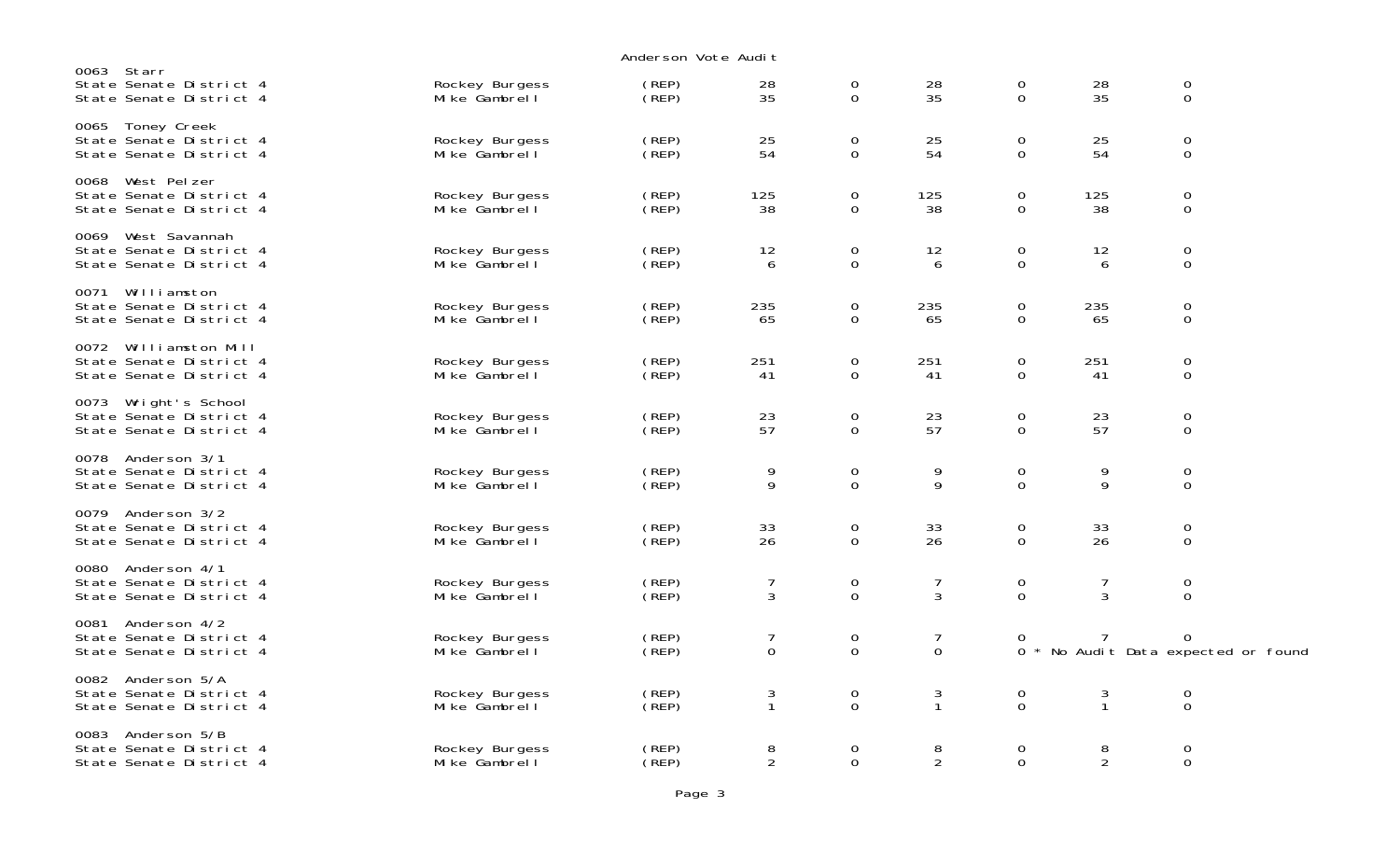|                                                                               |                                 | Anderson Vote Audit |                     |                            |                               |                                 |                     |                                      |  |
|-------------------------------------------------------------------------------|---------------------------------|---------------------|---------------------|----------------------------|-------------------------------|---------------------------------|---------------------|--------------------------------------|--|
| 0063 Starr<br>State Senate District 4<br>State Senate District 4              | Rockey Burgess<br>Mike Gambrell | (REP)<br>(REP)      | 28<br>35            | 0<br>$\Omega$              | 28<br>35                      | $\boldsymbol{0}$<br>$\Omega$    | 28<br>35            | $\mathbf 0$<br>$\mathbf 0$           |  |
| Toney Creek<br>0065<br>State Senate District 4<br>State Senate District 4     | Rockey Burgess<br>Mike Gambrell | (REP)<br>(REF)      | 25<br>54            | 0<br>$\mathbf 0$           | 25<br>54                      | 0<br>$\Omega$                   | 25<br>54            | $\mathbf 0$<br>$\mathbf 0$           |  |
| West Pelzer<br>0068<br>State Senate District 4<br>State Senate District 4     | Rockey Burgess<br>Mike Gambrell | (REP)<br>(REP)      | 125<br>38           | 0<br>$\mathbf 0$           | 125<br>38                     | 0<br>$\mathbf 0$                | 125<br>38           | 0<br>$\mathbf 0$                     |  |
| West Savannah<br>0069<br>State Senate District 4<br>State Senate District 4   | Rockey Burgess<br>Mike Gambrell | (REP)<br>(REP)      | 12<br>6             | $\mathbf 0$<br>$\mathbf 0$ | 12<br>6                       | 0<br>0                          | 12<br>6             | $\mathbf 0$<br>$\mathbf 0$           |  |
| Williamston<br>0071<br>State Senate District 4<br>State Senate District 4     | Rockey Burgess<br>Mike Gambrell | (REP)<br>(REF)      | 235<br>65           | 0<br>0                     | 235<br>65                     | 0<br>0                          | 235<br>65           | $\mathbf 0$<br>$\mathbf 0$           |  |
| 0072 Williamston Mill<br>State Senate District 4<br>State Senate District 4   | Rockey Burgess<br>Mike Gambrell | (REP)<br>(REP)      | 251<br>41           | 0<br>0                     | 251<br>41                     | $\mathbf 0$<br>0                | 251<br>41           | 0<br>$\mathbf 0$                     |  |
| 0073<br>Wright's School<br>State Senate District 4<br>State Senate District 4 | Rockey Burgess<br>Mike Gambrell | (REP)<br>(REF)      | 23<br>57            | $\boldsymbol{0}$<br>0      | 23<br>57                      | $\boldsymbol{0}$<br>$\Omega$    | 23<br>57            | $\mathbf 0$<br>0                     |  |
| 0078<br>Anderson 3/1<br>State Senate District 4<br>State Senate District 4    | Rockey Burgess<br>Mike Gambrell | (REP)<br>(REP)      | 9<br>9              | $\mathbf 0$<br>$\Omega$    | 9<br>9                        | $\boldsymbol{0}$<br>$\Omega$    | 9<br>9              | $\mathbf 0$<br>$\Omega$              |  |
| 0079<br>Anderson 3/2<br>State Senate District 4<br>State Senate District 4    | Rockey Burgess<br>Mike Gambrell | (REP)<br>(REF)      | 33<br>26            | 0<br>$\mathbf 0$           | 33<br>26                      | 0<br>$\Omega$                   | 33<br>26            | $\mathbf 0$<br>$\mathbf 0$           |  |
| Anderson 4/1<br>0080<br>State Senate District 4<br>State Senate District 4    | Rockey Burgess<br>Mike Gambrell | (REP)<br>(REF)      | 7<br>3              | 0<br>$\mathbf 0$           | $\overline{7}$<br>3           | 0<br>$\Omega$                   | 7<br>3              | 0<br>$\mathbf 0$                     |  |
| Anderson 4/2<br>0081<br>State Senate District 4<br>State Senate District 4    | Rockey Burgess<br>Mike Gambrell | (REP)<br>(REP)      | 7<br>$\mathbf 0$    | 0<br>$\mathbf 0$           | $\overline{7}$<br>$\mathbf 0$ | 0<br>0                          | 7                   | 0<br>No Audit Data expected or found |  |
| Anderson 5/A<br>0082<br>State Senate District 4<br>State Senate District 4    | Rockey Burgess<br>Mike Gambrell | (REP)<br>(REP)      | 3<br>$\mathbf{1}$   | 0<br>$\mathbf 0$           | 3<br>$\mathbf{1}$             | $\boldsymbol{0}$<br>$\mathsf 0$ | 3<br>$\mathbf{1}$   | $\boldsymbol{0}$<br>$\boldsymbol{0}$ |  |
| 0083<br>Anderson 5/B<br>State Senate District 4<br>State Senate District 4    | Rockey Burgess<br>Mike Gambrell | (REP)<br>(REP)      | 8<br>$\overline{2}$ | 0<br>0                     | 8<br>$\overline{2}$           | $\mathbf 0$<br>$\mathbf 0$      | 8<br>$\overline{2}$ | $\mathbf 0$<br>$\mathbf 0$           |  |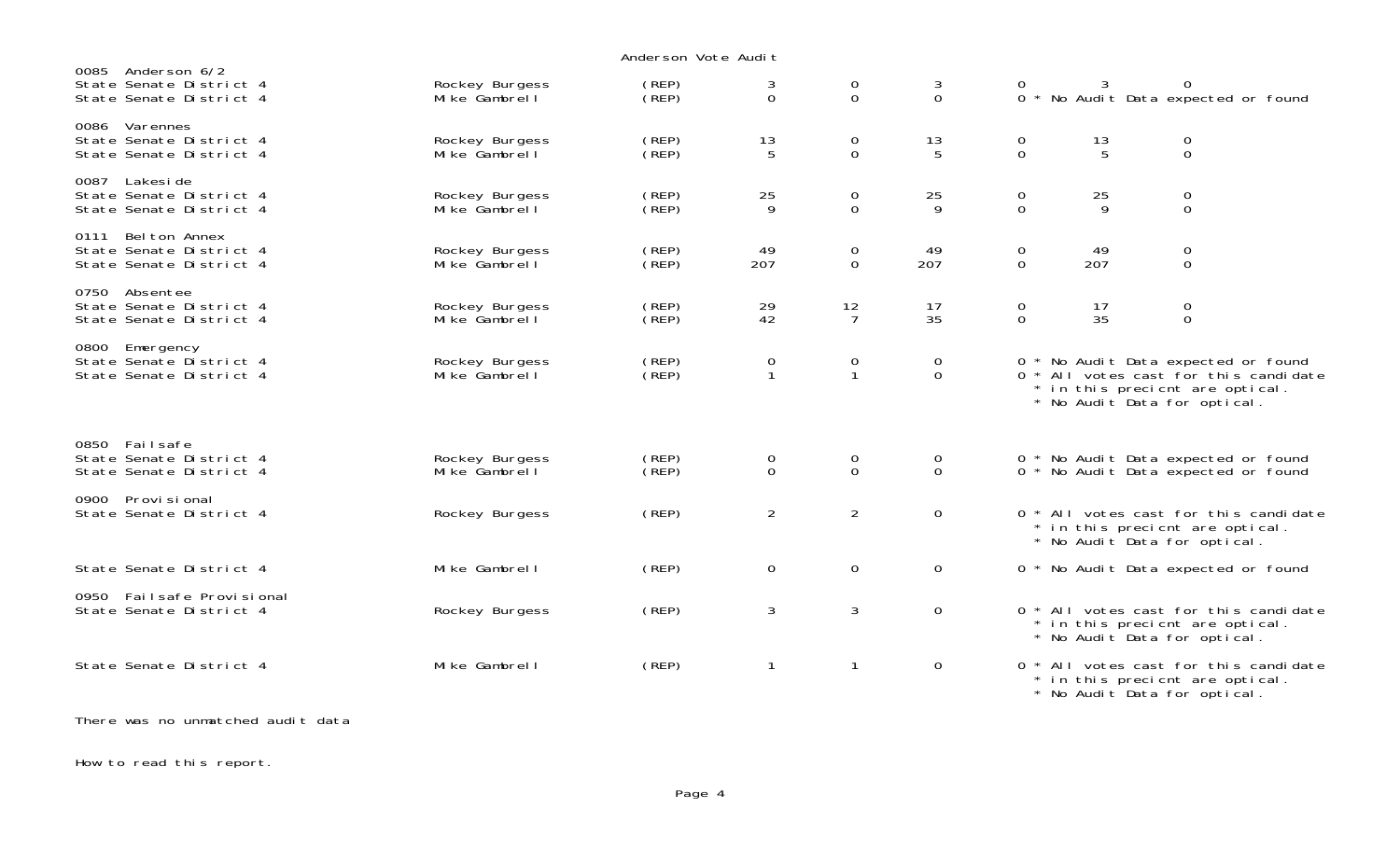|                                                                             |                                 | Anderson Vote Audit |                   |                               |                               |                               |                    |                                                                                                                                                 |  |
|-----------------------------------------------------------------------------|---------------------------------|---------------------|-------------------|-------------------------------|-------------------------------|-------------------------------|--------------------|-------------------------------------------------------------------------------------------------------------------------------------------------|--|
| 0085 Anderson 6/2<br>State Senate District 4<br>State Senate District 4     | Rockey Burgess<br>Mike Gambrell | (REP)<br>(REF)      | 3<br>$\Omega$     | $\overline{0}$<br>$\mathbf 0$ | 3<br>$\Omega$                 | 0<br>$\Omega$                 | 3                  | 0<br>No Audit Data expected or found                                                                                                            |  |
| 0086 Varennes<br>State Senate District 4<br>State Senate District 4         | Rockey Burgess<br>Mike Gambrell | (REP)<br>(REF)      | 13<br>5           | $\mathbf 0$<br>$\mathbf 0$    | 13<br>5                       | 0<br>$\overline{0}$           | 13<br>5            | $\mathbf 0$<br>$\mathbf 0$                                                                                                                      |  |
| 0087 Lakesi de<br>State Senate District 4<br>State Senate District 4        | Rockey Burgess<br>Mike Gambrell | (REP)<br>(REP)      | 25<br>9           | $\mathbf 0$<br>$\mathbf{O}$   | 25<br>9                       | 0<br>$\overline{0}$           | 25<br>$\mathsf{Q}$ | $\mathbf 0$<br>$\mathbf 0$                                                                                                                      |  |
| Bel ton Annex<br>0111<br>State Senate District 4<br>State Senate District 4 | Rockey Burgess<br>Mike Gambrell | (REP)<br>(REP)      | 49<br>207         | $\mathbf 0$<br>$\mathbf 0$    | 49<br>207                     | 0<br>$\overline{0}$           | 49<br>207          | 0<br>$\mathbf 0$                                                                                                                                |  |
| 0750 Absentee<br>State Senate District 4<br>State Senate District 4         | Rockey Burgess<br>Mike Gambrell | (REP)<br>(REP)      | 29<br>42          | 12<br>$\overline{7}$          | 17<br>35                      | $\mathbf 0$<br>$\overline{0}$ | 17<br>35           | $\mathbf 0$<br>$\mathsf{O}\xspace$                                                                                                              |  |
| 0800 Emergency<br>State Senate District 4<br>State Senate District 4        | Rockey Burgess<br>Mike Gambrell | (REP)<br>(REP)      | 0<br>$\mathbf{1}$ | 0<br>$\mathbf{1}$             | 0<br>$\mathbf 0$              |                               |                    | 0 * No Audit Data expected or found<br>0 * All votes cast for this candidate<br>* in this precient are optical.<br>* No Audit Data for optical. |  |
| 0850 Failsafe<br>State Senate District 4<br>State Senate District 4         | Rockey Burgess<br>Mike Gambrell | (REP)<br>(REP)      | 0<br>$\Omega$     | $\mathbf 0$<br>$\mathbf 0$    | $\mathbf 0$<br>$\overline{0}$ |                               |                    | 0 * No Audit Data expected or found<br>0 * No Audit Data expected or found                                                                      |  |
| 0900 Provi si onal<br>State Senate District 4                               | Rockey Burgess                  | (REP)               | $\overline{2}$    | $\overline{2}$                | $\mathbf 0$                   |                               |                    | 0 * All votes cast for this candidate<br>* in this precient are optical.<br>* No Audit Data for optical.                                        |  |
| State Senate District 4                                                     | Mike Gambrell                   | (REP)               | $\Omega$          | $\mathbf 0$                   | $\Omega$                      |                               |                    | 0 * No Audit Data expected or found                                                                                                             |  |
| 0950 Failsafe Provisional<br>State Senate District 4                        | Rockey Burgess                  | (REP)               | 3                 | 3                             | $\mathbf 0$                   |                               |                    | 0 * All votes cast for this candidate<br>* in this precient are optical.<br>* No Audit Data for optical.                                        |  |
| State Senate District 4                                                     | Mike Gambrell                   | (REP)               | 1                 | $\mathbf{1}$                  | $\mathbf 0$                   | $0 *$                         |                    | All votes cast for this candidate<br>* in this precient are optical.<br>* No Audit Data for optical.                                            |  |
| There was no unmatched audit data                                           |                                 |                     |                   |                               |                               |                               |                    |                                                                                                                                                 |  |

How to read this report.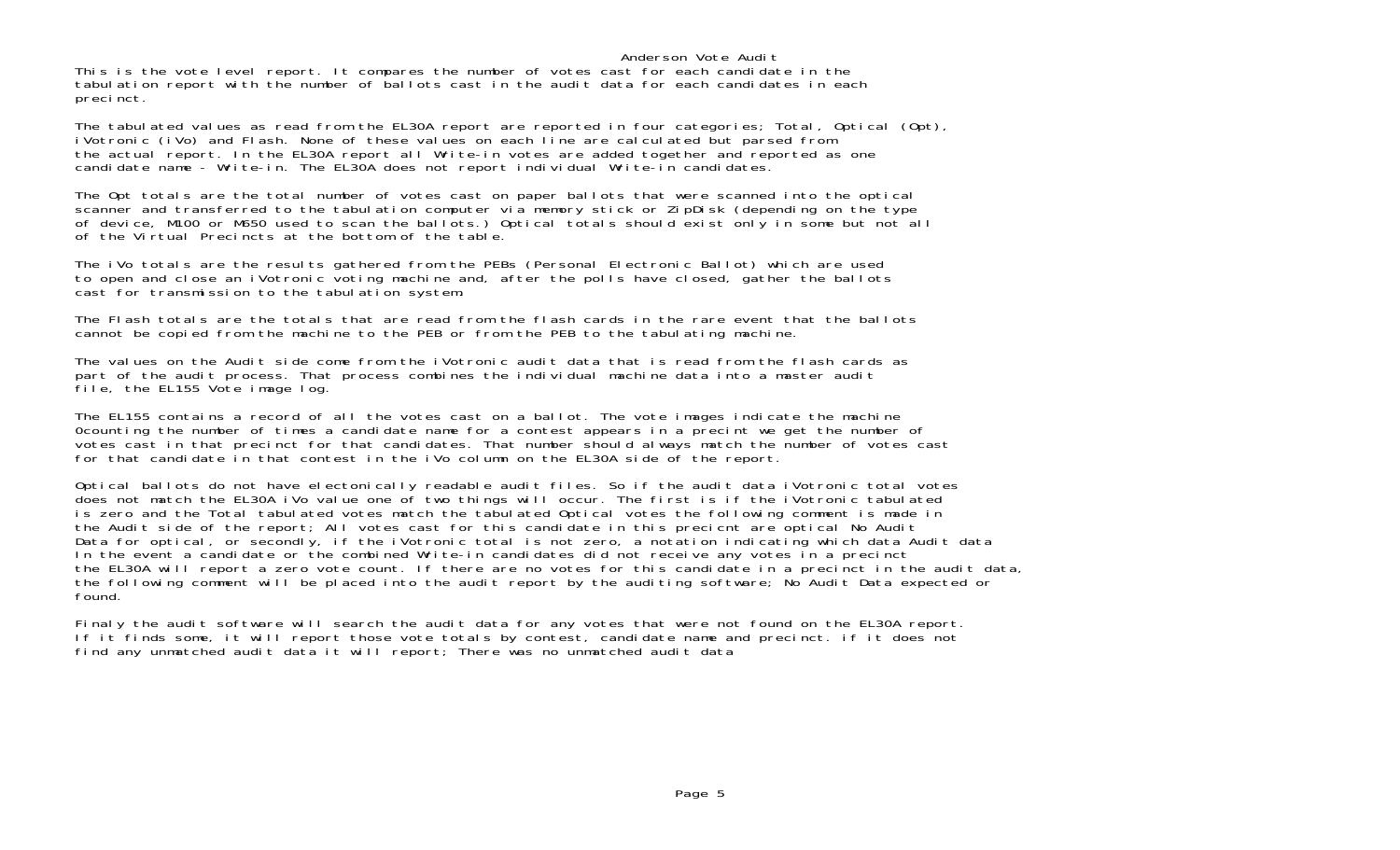## Anderson Vote Audit

This is the vote level report. It compares the number of votes cast for each candidate in the tabulation report with the number of ballots cast in the audit data for each candidates in each precinct.

The tabulated values as read from the EL30A report are reported in four categories; Total, Optical (Opt), iVotronic (iVo) and Flash. None of these values on each line are calculated but parsed from the actual report. In the EL30A report all Write-in votes are added together and reported as one candidate name - Write-in. The EL30A does not report individual Write-in candidates.

The Opt totals are the total number of votes cast on paper ballots that were scanned into the optical scanner and transferred to the tabulation computer via memory stick or ZipDisk (depending on the type of device, M100 or M650 used to scan the ballots.) Optical totals should exist only in some but not all of the Virtual Precincts at the bottom of the table.

The iVo totals are the results gathered from the PEBs (Personal Electronic Ballot) which are used to open and close an iVotronic voting machine and, after the polls have closed, gather the ballots cast for transmission to the tabulation system.

The Flash totals are the totals that are read from the flash cards in the rare event that the ballots cannot be copied from the machine to the PEB or from the PEB to the tabulating machine.

The values on the Audit side come from the iVotronic audit data that is read from the flash cards as part of the audit process. That process combines the individual machine data into a master audit file, the EL155 Vote image log.

The EL155 contains a record of all the votes cast on a ballot. The vote images indicate the machine 0counting the number of times a candidate name for a contest appears in a precint we get the number of votes cast in that precinct for that candidates. That number should always match the number of votes cast for that candidate in that contest in the iVo column on the EL30A side of the report.

Optical ballots do not have electonically readable audit files. So if the audit data iVotronic total votes does not match the EL30A iVo value one of two things will occur. The first is if the iVotronic tabulated is zero and the Total tabulated votes match the tabulated Optical votes the following comment is made in the Audit side of the report; All votes cast for this candidate in this precicnt are optical No Audit Data for optical, or secondly, if the iVotronic total is not zero, a notation indicating which data Audit data In the event a candidate or the combined Write-in candidates did not receive any votes in a precinct the EL30A will report a zero vote count. If there are no votes for this candidate in a precinct in the audit data, the following comment will be placed into the audit report by the auditing software; No Audit Data expected or found.

Finaly the audit software will search the audit data for any votes that were not found on the EL30A report. If it finds some, it will report those vote totals by contest, candidate name and precinct. if it does not find any unmatched audit data it will report; There was no unmatched audit data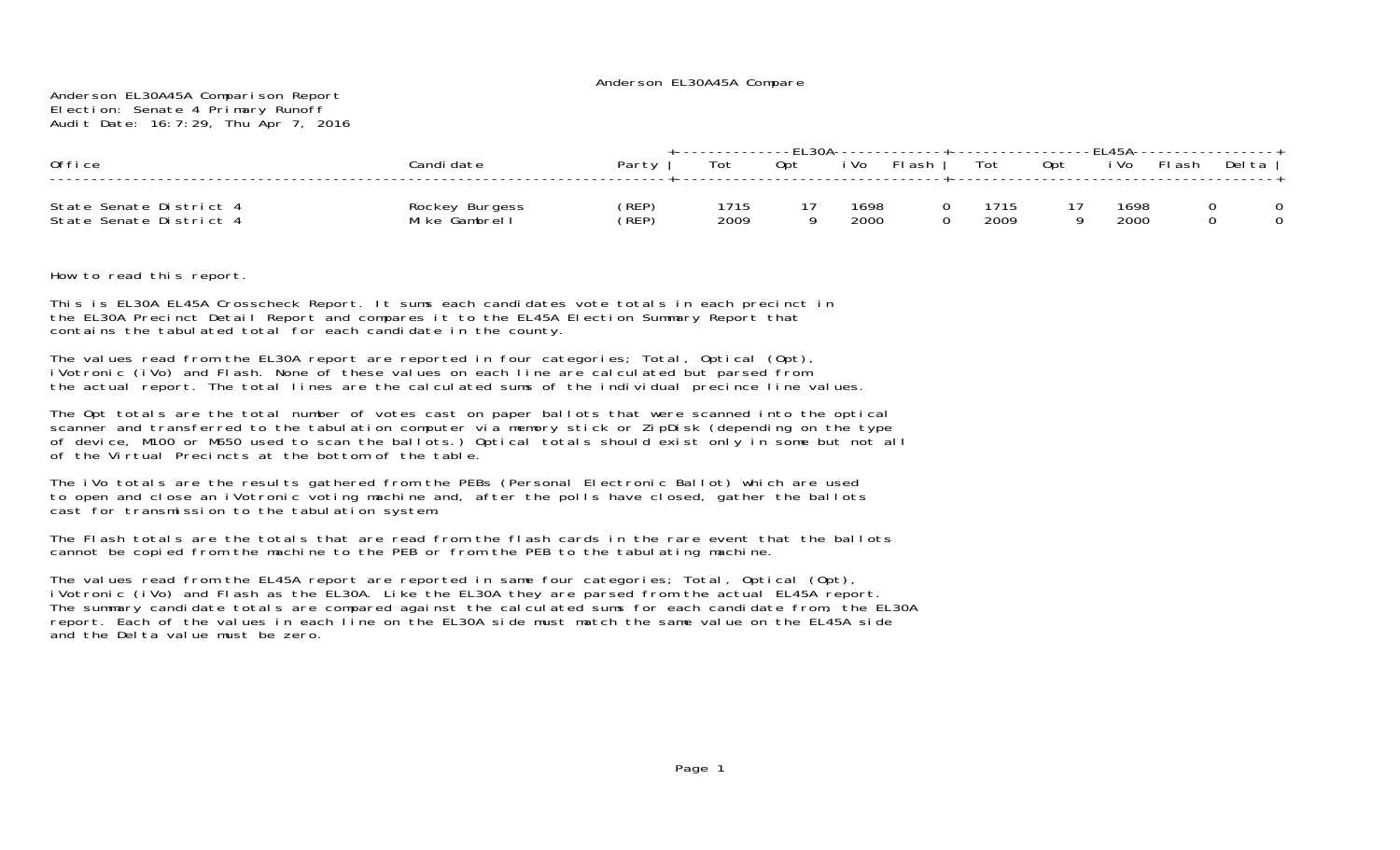| 0ffice                                             | :andi date                      | Partv          | Tot          | 0pt | i Vol        | --------+----------------EL45A----------------+<br>FI ash | Tot |             | Opt | i Vo         | FI ash | Del ta |  |
|----------------------------------------------------|---------------------------------|----------------|--------------|-----|--------------|-----------------------------------------------------------|-----|-------------|-----|--------------|--------|--------|--|
| State Senate District 4<br>State Senate District 4 | Rockey Burgess<br>Mike Gambrell | (REP)<br>(REP) | 1715<br>2009 |     | 1698<br>2000 |                                                           |     | 715<br>2009 |     | 1698<br>2000 |        |        |  |

How to read this report.

This is EL30A EL45A Crosscheck Report. It sums each candidates vote totals in each precinct in the EL30A Precinct Detail Report and compares it to the EL45A Election Summary Report that contains the tabulated total for each candidate in the county.

The values read from the EL30A report are reported in four categories; Total, Optical (Opt), iVotronic (iVo) and Flash. None of these values on each line are calculated but parsed from the actual report. The total lines are the calculated sums of the individual precince line values.

The Opt totals are the total number of votes cast on paper ballots that were scanned into the optical scanner and transferred to the tabulation computer via memory stick or ZipDisk (depending on the type of device, M100 or M650 used to scan the ballots.) Optical totals should exist only in some but not all of the Virtual Precincts at the bottom of the table.

The iVo totals are the results gathered from the PEBs (Personal Electronic Ballot) which are used to open and close an iVotronic voting machine and, after the polls have closed, gather the ballots cast for transmission to the tabulation system.

The Flash totals are the totals that are read from the flash cards in the rare event that the ballots cannot be copied from the machine to the PEB or from the PEB to the tabulating machine.

The values read from the EL45A report are reported in same four categories; Total, Optical (Opt), iVotronic (iVo) and Flash as the EL30A. Like the EL30A they are parsed from the actual EL45A report. The summary candidate totals are compared against the calculated sums for each candidate from, the EL30A report. Each of the values in each line on the EL30A side must match the same value on the EL45A side and the Delta value must be zero.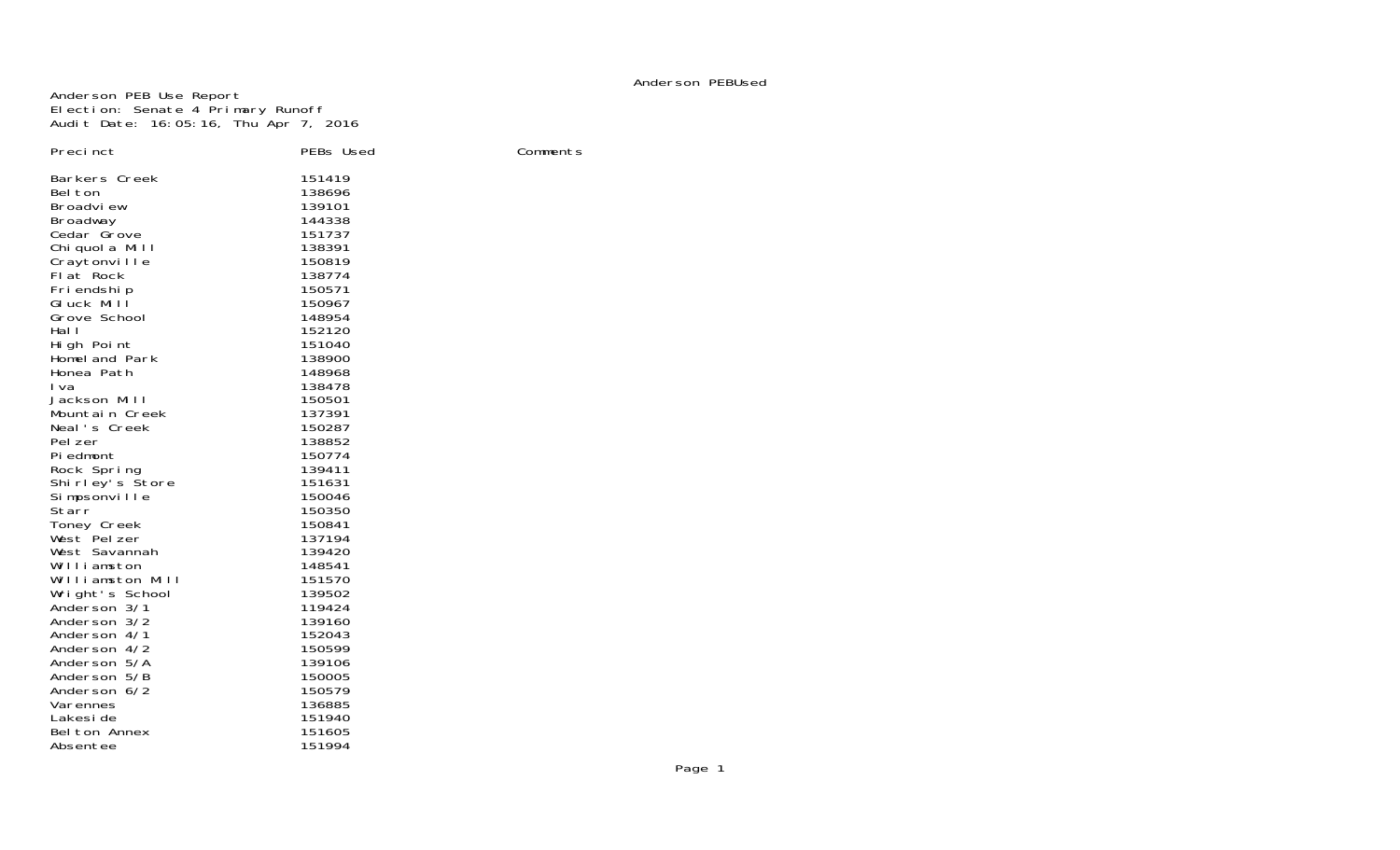## Anderson PEBUsed

Anderson PEB Use Report Election: Senate 4 Primary Runoff Audit Date: 16:05:16, Thu Apr 7, 2016

| Precinct                        | PEBs Used        | Comments |
|---------------------------------|------------------|----------|
| Barkers Creek                   | 151419           |          |
| Bel ton                         | 138696           |          |
| Broadview                       | 139101           |          |
| Broadway                        | 144338           |          |
| Cedar Grove                     | 151737           |          |
| Chi quol a Mill                 | 138391           |          |
| Craytonville                    | 150819           |          |
| Flat Rock                       | 138774           |          |
| Friendship                      | 150571           |          |
| GIuck Mill<br>Grove School      | 150967<br>148954 |          |
| Hal I                           | 152120           |          |
| High Point                      | 151040           |          |
| Homel and Park                  | 138900           |          |
| Honea Path                      | 148968           |          |
| I va                            | 138478           |          |
| Jackson Mill                    | 150501           |          |
| Mountain Creek                  | 137391           |          |
| Neal's Creek                    | 150287           |          |
| Pel zer                         | 138852           |          |
| Pi edmont                       | 150774           |          |
| Rock Spring                     | 139411           |          |
| Shirley's Store                 | 151631           |          |
| Simpsonville                    | 150046           |          |
| Starr                           | 150350           |          |
| Toney Creek                     | 150841           |          |
| West Pel zer                    | 137194           |          |
| West Savannah                   | 139420           |          |
| Williamston<br>Williamston Mill | 148541<br>151570 |          |
| Wright's School                 | 139502           |          |
| Anderson 3/1                    | 119424           |          |
| Anderson 3/2                    | 139160           |          |
| Anderson 4/1                    | 152043           |          |
| Anderson 4/2                    | 150599           |          |
| Anderson 5/A                    | 139106           |          |
| Anderson 5/B                    | 150005           |          |
| Anderson 6/2                    | 150579           |          |
| Varennes                        | 136885           |          |
| Lakesi de                       | 151940           |          |
| Belton Annex                    | 151605           |          |
| Absentee                        | 151994           |          |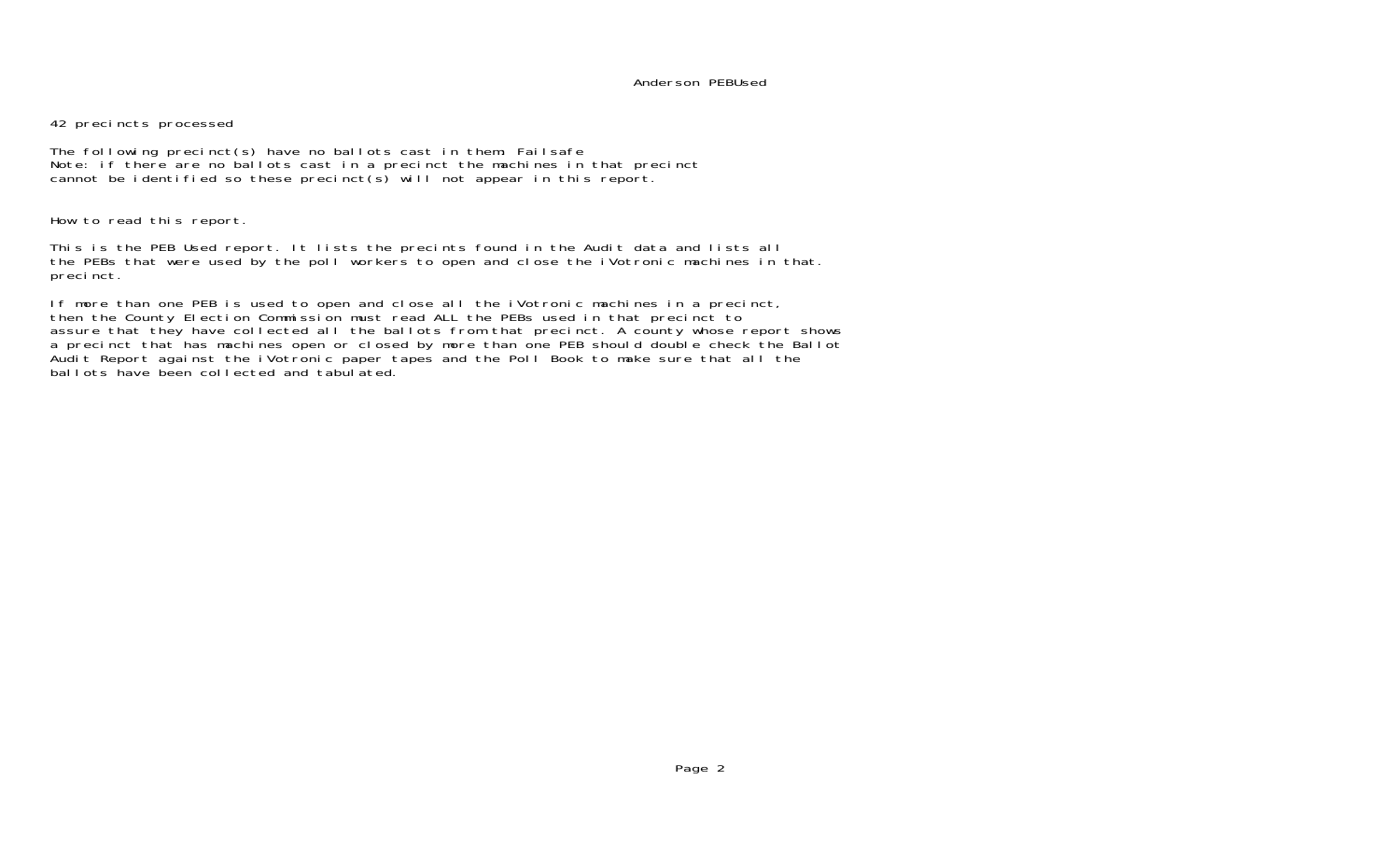## Anderson PEBUsed

42 precincts processed

The following precinct(s) have no ballots cast in them: Failsafe Note: if there are no ballots cast in a precinct the machines in that precinct cannot be identified so these precinct(s) will not appear in this report.

How to read this report.

This is the PEB Used report. It lists the precints found in the Audit data and lists all the PEBs that were used by the poll workers to open and close the iVotronic machines in that. precinct.

If more than one PEB is used to open and close all the iVotronic machines in a precinct, then the County Election Commission must read ALL the PEBs used in that precinct to assure that they have collected all the ballots from that precinct. A county whose report shows a precinct that has machines open or closed by more than one PEB should double check the Ballot Audit Report against the iVotronic paper tapes and the Poll Book to make sure that all the ballots have been collected and tabulated.